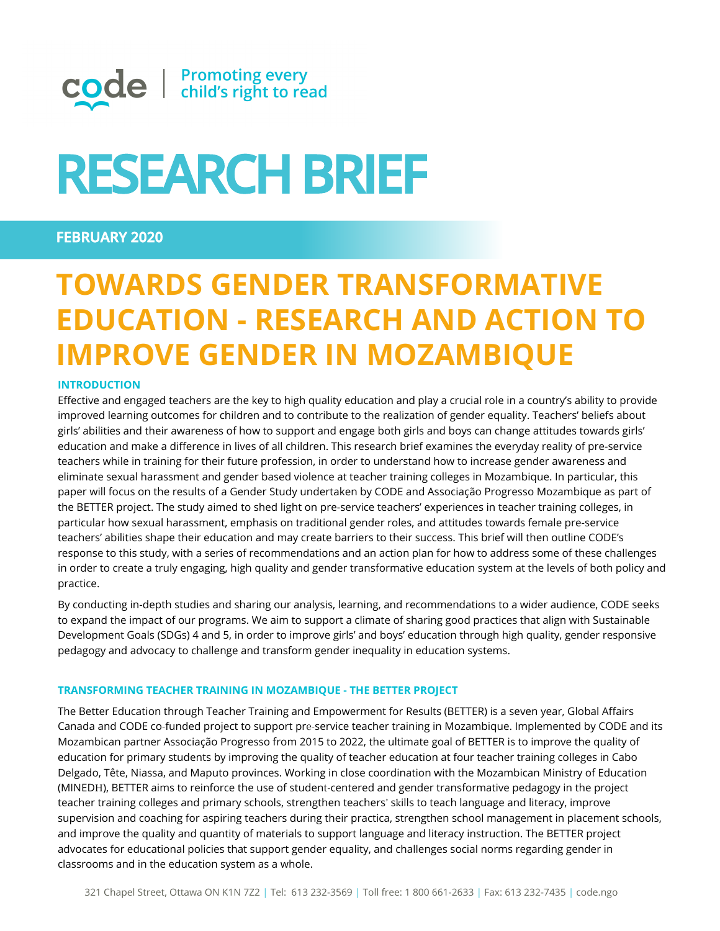

# **RESEARCH BRIEF**

### **FEBRUARY 2020**

## **TOWARDS GENDER TRANSFORMATIVE EDUCATION - RESEARCH AND ACTION TO IMPROVE GENDER IN MOZAMBIQUE**

#### **INTRODUCTION**

Effective and engaged teachers are the key to high quality education and play a crucial role in a country's ability to provide improved learning outcomes for children and to contribute to the realization of gender equality. Teachers' beliefs about girls' abilities and their awareness of how to support and engage both girls and boys can change attitudes towards girls' education and make a difference in lives of all children. This research brief examines the everyday reality of pre-service teachers while in training for their future profession, in order to understand how to increase gender awareness and eliminate sexual harassment and gender based violence at teacher training colleges in Mozambique. In particular, this paper will focus on the results of a Gender Study undertaken by CODE and Associação Progresso Mozambique as part of the BETTER project. The study aimed to shed light on pre-service teachers' experiences in teacher training colleges, in particular how sexual harassment, emphasis on traditional gender roles, and attitudes towards female pre-service teachers' abilities shape their education and may create barriers to their success. This brief will then outline CODE's response to this study, with a series of recommendations and an action plan for how to address some of these challenges in order to create a truly engaging, high quality and gender transformative education system at the levels of both policy and practice.

By conducting in-depth studies and sharing our analysis, learning, and recommendations to a wider audience, CODE seeks to expand the impact of our programs. We aim to support a climate of sharing good practices that align with Sustainable Development Goals (SDGs) 4 and 5, in order to improve girls' and boys' education through high quality, gender responsive pedagogy and advocacy to challenge and transform gender inequality in education systems.

#### **TRANSFORMING TEACHER TRAINING IN MOZAMBIQUE - THE BETTER PROJECT**

The Better Education through Teacher Training and Empowerment for Results (BETTER) is a seven year, Global Affairs Canada and CODE co-funded project to support pre-service teacher training in Mozambique. Implemented by CODE and its Mozambican partner Associação Progresso from 2015 to 2022, the ultimate goal of BETTER is to improve the quality of education for primary students by improving the quality of teacher education at four teacher training colleges in Cabo Delgado, Tête, Niassa, and Maputo provinces. Working in close coordination with the Mozambican Ministry of Education (MINEDH), BETTER aims to reinforce the use of student-centered and gender transformative pedagogy in the project teacher training colleges and primary schools, strengthen teachers' skills to teach language and literacy, improve supervision and coaching for aspiring teachers during their practica, strengthen school management in placement schools, and improve the quality and quantity of materials to support language and literacy instruction. The BETTER project advocates for educational policies that support gender equality, and challenges social norms regarding gender in classrooms and in the education system as a whole.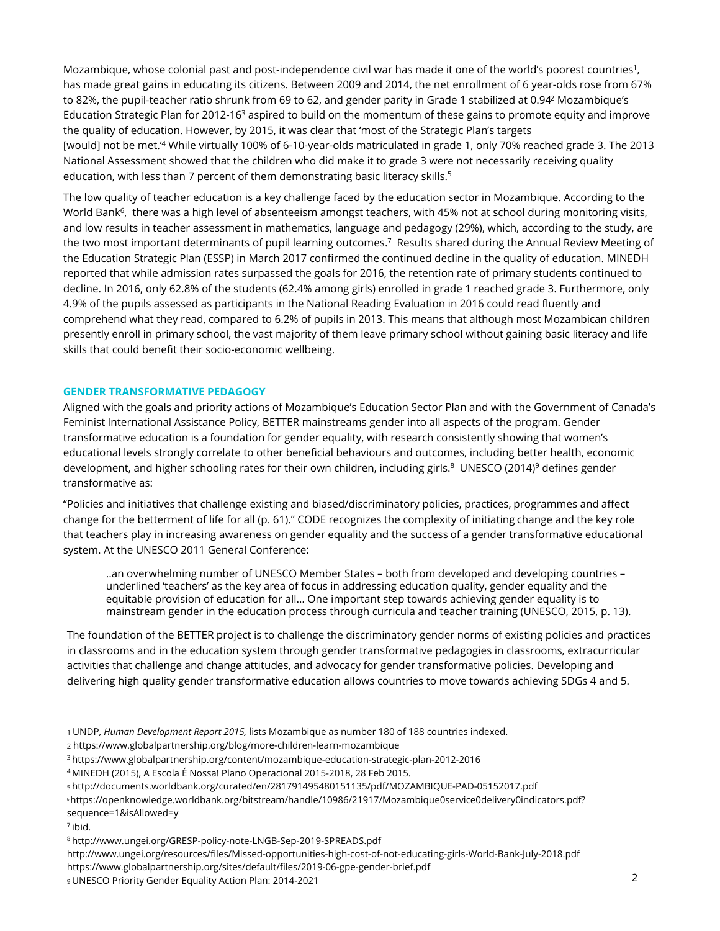Mozambique, whose colonial past and post-independence civil war has made it one of the world's poorest countries<sup>1</sup>, has made great gains in educating its citizens. Between 2009 and 2014, the net enrollment of 6 year-olds rose from 67% to 82%, the pupil-teacher ratio shrunk from 69 to 62, and gender parity in Grade 1 stabilized at 0.94<sup>2</sup> Mozambique's Education Strategic Plan for 2012-16<sup>3</sup> aspired to build on the momentum of these gains to promote equity and improve the quality of education. However, by 2015, it was clear that 'most of the Strategic Plan's targets [would] not be met.'<sup>4</sup> While virtually 100% of 6-10-year-olds matriculated in grade 1, only 70% reached grade 3. The 2013 National Assessment showed that the children who did make it to grade 3 were not necessarily receiving quality education, with less than 7 percent of them demonstrating basic literacy skills.<sup>5</sup>

The low quality of teacher education is a key challenge faced by the education sector in Mozambique. According to the World Bank<sup>6</sup>, there was a high level of absenteeism amongst teachers, with 45% not at school during monitoring visits, and low results in teacher assessment in mathematics, language and pedagogy (29%), which, according to the study, are the two most important determinants of pupil learning outcomes.<sup>7</sup> Results shared during the Annual Review Meeting of the Education Strategic Plan (ESSP) in March 2017 confirmed the continued decline in the quality of education. MINEDH reported that while admission rates surpassed the goals for 2016, the retention rate of primary students continued to decline. In 2016, only 62.8% of the students (62.4% among girls) enrolled in grade 1 reached grade 3. Furthermore, only 4.9% of the pupils assessed as participants in the National Reading Evaluation in 2016 could read fluently and comprehend what they read, compared to 6.2% of pupils in 2013. This means that although most Mozambican children presently enroll in primary school, the vast majority of them leave primary school without gaining basic literacy and life skills that could benefit their socio-economic wellbeing.

#### **GENDER TRANSFORMATIVE PEDAGOGY**

Aligned with the goals and priority actions of Mozambique's Education Sector Plan and with the Government of Canada's Feminist International Assistance Policy, BETTER mainstreams gender into all aspects of the program. Gender transformative education is a foundation for gender equality, with research consistently showing that women's educational levels strongly correlate to other beneficial behaviours and outcomes, including better health, economic development, and higher schooling rates for their own children, including girls.<sup>8</sup> UNESCO (2014)<sup>9</sup> defines gender transformative as:

"Policies and initiatives that challenge existing and biased/discriminatory policies, practices, programmes and affect change for the betterment of life for all (p. 61)." CODE recognizes the complexity of initiating change and the key role that teachers play in increasing awareness on gender equality and the success of a gender transformative educational system. At the UNESCO 2011 General Conference:

..an overwhelming number of UNESCO Member States – both from developed and developing countries – underlined 'teachers' as the key area of focus in addressing education quality, gender equality and the equitable provision of education for all… One important step towards achieving gender equality is to mainstream gender in the education process through curricula and teacher training (UNESCO, 2015, p. 13).

The foundation of the BETTER project is to challenge the discriminatory gender norms of existing policies and practices in classrooms and in the education system through gender transformative pedagogies in classrooms, extracurricular activities that challenge and change attitudes, and advocacy for gender transformative policies. Developing and delivering high quality gender transformative education allows countries to move towards achieving SDGs 4 and 5.

- 1 UNDP, *Human Development Report 2015,* lists Mozambique as number 180 of 188 countries indexed.
- 2 https://www.globalpartnership.org/blog/more-children-learn-mozambique

<sup>3</sup>https://www.globalpartnership.org/content/mozambique-education-strategic-plan-2012-2016

<sup>4</sup> MINEDH (2015), A Escola É Nossa! Plano Operacional 2015-2018, 28 Feb 2015.

<sup>5</sup>http://documents.worldbank.org/curated/en/281791495480151135/pdf/MOZAMBIQUE-PAD-05152017.pdf

<sup>6</sup>https://openknowledge.worldbank.org/bitstream/handle/10986/21917/Mozambique0service0delivery0indicators.pdf? sequence=1&isAllowed=y

<sup>7</sup>ibid.

<sup>8</sup>http://www.ungei.org/GRESP-policy-note-LNGB-Sep-2019-SPREADS.pdf

http://www.ungei.org/resources/files/Missed-opportunities-high-cost-of-not-educating-girls-World-Bank-July-2018.pdf

https://www.globalpartnership.org/sites/default/files/2019-06-gpe-gender-brief.pdf

<sup>9</sup>UNESCO Priority Gender Equality Action Plan: 2014-2021 2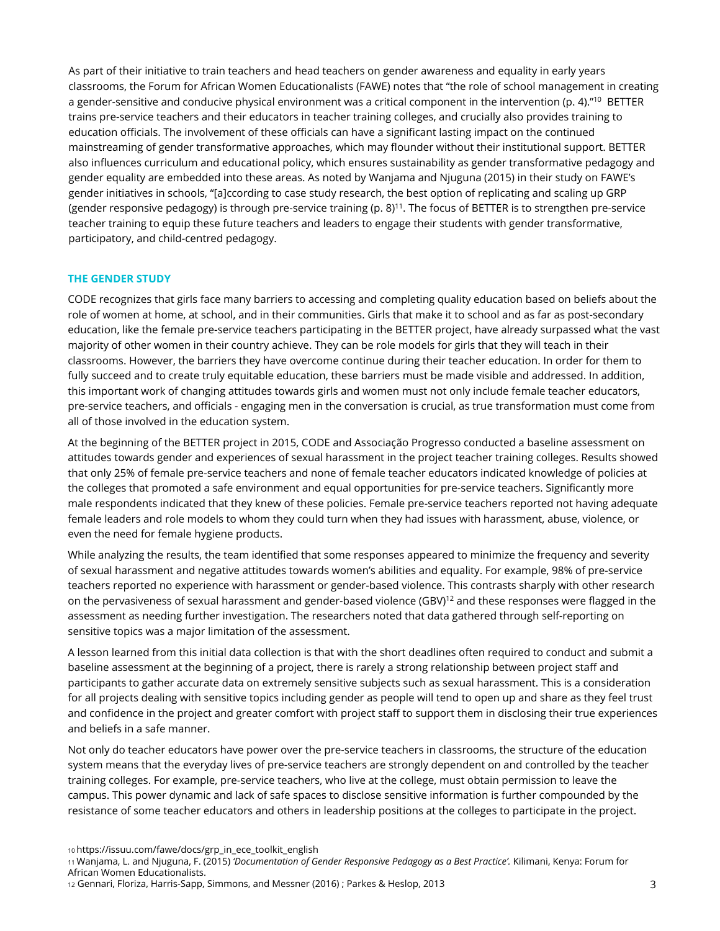As part of their initiative to train teachers and head teachers on gender awareness and equality in early years classrooms, the Forum for African Women Educationalists (FAWE) notes that "the role of school management in creating a gender-sensitive and conducive physical environment was a critical component in the intervention (p. 4)."<sup>10</sup> BETTER trains pre-service teachers and their educators in teacher training colleges, and crucially also provides training to education officials. The involvement of these officials can have a significant lasting impact on the continued mainstreaming of gender transformative approaches, which may flounder without their institutional support. BETTER also influences curriculum and educational policy, which ensures sustainability as gender transformative pedagogy and gender equality are embedded into these areas. As noted by Wanjama and Njuguna (2015) in their study on FAWE's gender initiatives in schools, "[a]ccording to case study research, the best option of replicating and scaling up GRP (gender responsive pedagogy) is through pre-service training (p.  $8$ )<sup>11</sup>. The focus of BETTER is to strengthen pre-service teacher training to equip these future teachers and leaders to engage their students with gender transformative, participatory, and child-centred pedagogy.

#### **THE GENDER STUDY**

CODE recognizes that girls face many barriers to accessing and completing quality education based on beliefs about the role of women at home, at school, and in their communities. Girls that make it to school and as far as post-secondary education, like the female pre-service teachers participating in the BETTER project, have already surpassed what the vast majority of other women in their country achieve. They can be role models for girls that they will teach in their classrooms. However, the barriers they have overcome continue during their teacher education. In order for them to fully succeed and to create truly equitable education, these barriers must be made visible and addressed. In addition, this important work of changing attitudes towards girls and women must not only include female teacher educators, pre-service teachers, and officials - engaging men in the conversation is crucial, as true transformation must come from all of those involved in the education system.

At the beginning of the BETTER project in 2015, CODE and Associação Progresso conducted a baseline assessment on attitudes towards gender and experiences of sexual harassment in the project teacher training colleges. Results showed that only 25% of female pre-service teachers and none of female teacher educators indicated knowledge of policies at the colleges that promoted a safe environment and equal opportunities for pre-service teachers. Significantly more male respondents indicated that they knew of these policies. Female pre-service teachers reported not having adequate female leaders and role models to whom they could turn when they had issues with harassment, abuse, violence, or even the need for female hygiene products.

While analyzing the results, the team identified that some responses appeared to minimize the frequency and severity of sexual harassment and negative attitudes towards women's abilities and equality. For example, 98% of pre-service teachers reported no experience with harassment or gender-based violence. This contrasts sharply with other research on the pervasiveness of sexual harassment and gender-based violence (GBV)<sup>12</sup> and these responses were flagged in the assessment as needing further investigation. The researchers noted that data gathered through self-reporting on sensitive topics was a major limitation of the assessment.

A lesson learned from this initial data collection is that with the short deadlines often required to conduct and submit a baseline assessment at the beginning of a project, there is rarely a strong relationship between project staff and participants to gather accurate data on extremely sensitive subjects such as sexual harassment. This is a consideration for all projects dealing with sensitive topics including gender as people will tend to open up and share as they feel trust and confidence in the project and greater comfort with project staff to support them in disclosing their true experiences and beliefs in a safe manner.

Not only do teacher educators have power over the pre-service teachers in classrooms, the structure of the education system means that the everyday lives of pre-service teachers are strongly dependent on and controlled by the teacher training colleges. For example, pre-service teachers, who live at the college, must obtain permission to leave the campus. This power dynamic and lack of safe spaces to disclose sensitive information is further compounded by the resistance of some teacher educators and others in leadership positions at the colleges to participate in the project.

10 https://issuu.com/fawe/docs/grp\_in\_ece\_toolkit\_english

<sup>11</sup>Wanjama, L. and Njuguna, F. (2015) *'Documentation of Gender Responsive Pedagogy as a Best Practice'.* Kilimani, Kenya: Forum for African Women Educationalists.

<sup>12</sup> Gennari, Floriza, Harris-Sapp, Simmons, and Messner (2016) ; Parkes & Heslop, 2013 3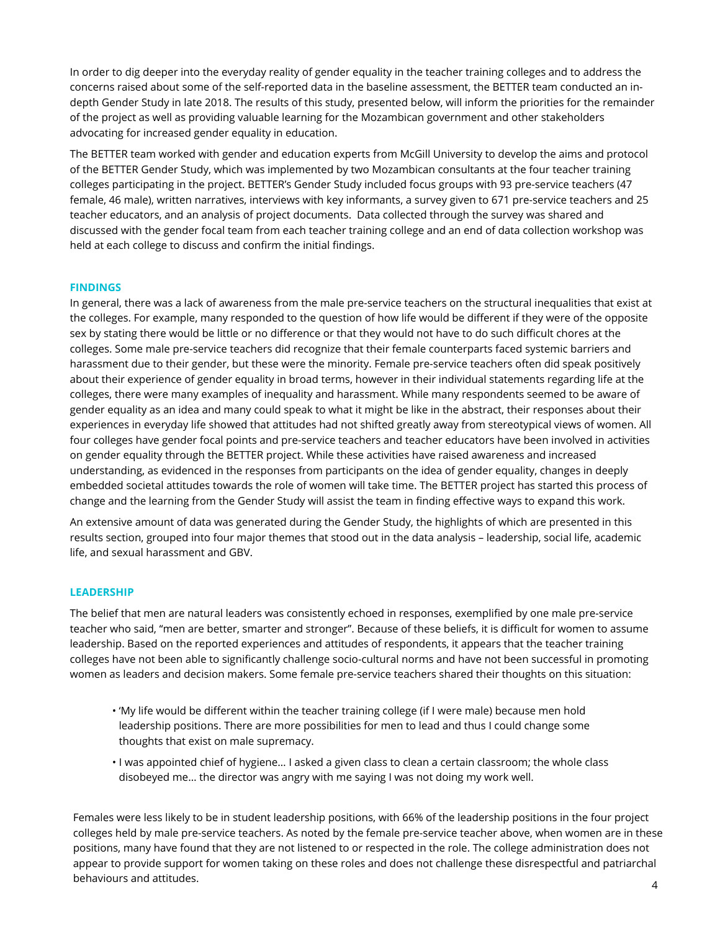In order to dig deeper into the everyday reality of gender equality in the teacher training colleges and to address the concerns raised about some of the self-reported data in the baseline assessment, the BETTER team conducted an indepth Gender Study in late 2018. The results of this study, presented below, will inform the priorities for the remainder of the project as well as providing valuable learning for the Mozambican government and other stakeholders advocating for increased gender equality in education.

The BETTER team worked with gender and education experts from McGill University to develop the aims and protocol of the BETTER Gender Study, which was implemented by two Mozambican consultants at the four teacher training colleges participating in the project. BETTER's Gender Study included focus groups with 93 pre-service teachers (47 female, 46 male), written narratives, interviews with key informants, a survey given to 671 pre-service teachers and 25 teacher educators, and an analysis of project documents. Data collected through the survey was shared and discussed with the gender focal team from each teacher training college and an end of data collection workshop was held at each college to discuss and confirm the initial findings.

#### **FINDINGS**

In general, there was a lack of awareness from the male pre-service teachers on the structural inequalities that exist at the colleges. For example, many responded to the question of how life would be different if they were of the opposite sex by stating there would be little or no difference or that they would not have to do such difficult chores at the colleges. Some male pre-service teachers did recognize that their female counterparts faced systemic barriers and harassment due to their gender, but these were the minority. Female pre-service teachers often did speak positively about their experience of gender equality in broad terms, however in their individual statements regarding life at the colleges, there were many examples of inequality and harassment. While many respondents seemed to be aware of gender equality as an idea and many could speak to what it might be like in the abstract, their responses about their experiences in everyday life showed that attitudes had not shifted greatly away from stereotypical views of women. All four colleges have gender focal points and pre-service teachers and teacher educators have been involved in activities on gender equality through the BETTER project. While these activities have raised awareness and increased understanding, as evidenced in the responses from participants on the idea of gender equality, changes in deeply embedded societal attitudes towards the role of women will take time. The BETTER project has started this process of change and the learning from the Gender Study will assist the team in finding effective ways to expand this work.

An extensive amount of data was generated during the Gender Study, the highlights of which are presented in this results section, grouped into four major themes that stood out in the data analysis – leadership, social life, academic life, and sexual harassment and GBV.

#### **LEADERSHIP**

The belief that men are natural leaders was consistently echoed in responses, exemplified by one male pre-service teacher who said, "men are better, smarter and stronger". Because of these beliefs, it is difficult for women to assume leadership. Based on the reported experiences and attitudes of respondents, it appears that the teacher training colleges have not been able to significantly challenge socio-cultural norms and have not been successful in promoting women as leaders and decision makers. Some female pre-service teachers shared their thoughts on this situation:

- 'My life would be different within the teacher training college (if I were male) because men hold leadership positions. There are more possibilities for men to lead and thus I could change some thoughts that exist on male supremacy.
- I was appointed chief of hygiene… I asked a given class to clean a certain classroom; the whole class disobeyed me… the director was angry with me saying I was not doing my work well.

Females were less likely to be in student leadership positions, with 66% of the leadership positions in the four project colleges held by male pre-service teachers. As noted by the female pre-service teacher above, when women are in these positions, many have found that they are not listened to or respected in the role. The college administration does not appear to provide support for women taking on these roles and does not challenge these disrespectful and patriarchal behaviours and attitudes. 4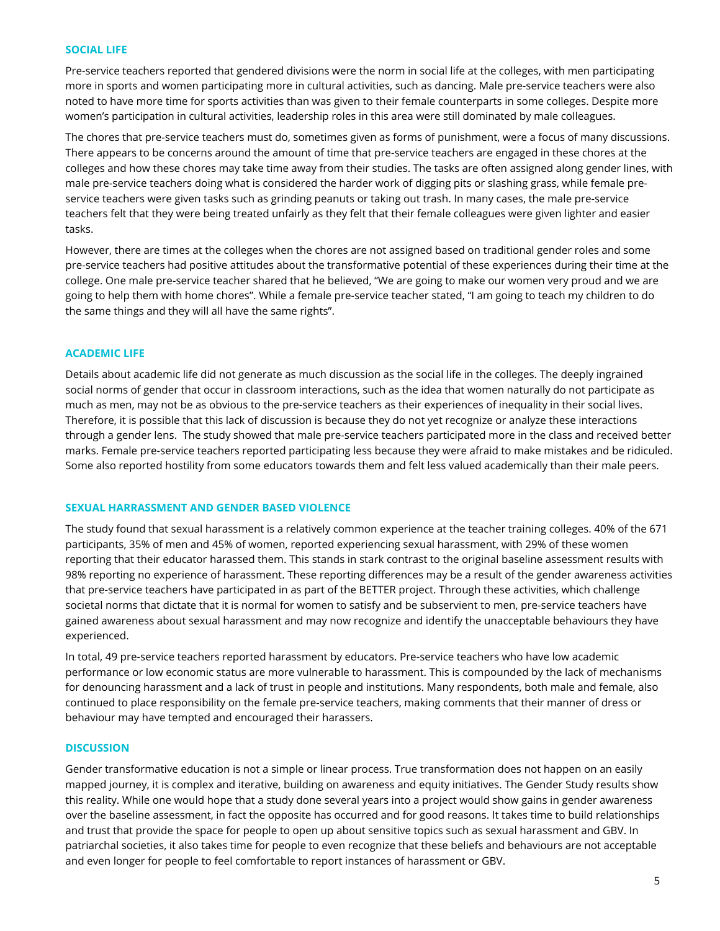#### **SOCIAL LIFE**

Pre-service teachers reported that gendered divisions were the norm in social life at the colleges, with men participating more in sports and women participating more in cultural activities, such as dancing. Male pre-service teachers were also noted to have more time for sports activities than was given to their female counterparts in some colleges. Despite more women's participation in cultural activities, leadership roles in this area were still dominated by male colleagues.

The chores that pre-service teachers must do, sometimes given as forms of punishment, were a focus of many discussions. There appears to be concerns around the amount of time that pre-service teachers are engaged in these chores at the colleges and how these chores may take time away from their studies. The tasks are often assigned along gender lines, with male pre-service teachers doing what is considered the harder work of digging pits or slashing grass, while female preservice teachers were given tasks such as grinding peanuts or taking out trash. In many cases, the male pre-service teachers felt that they were being treated unfairly as they felt that their female colleagues were given lighter and easier tasks.

However, there are times at the colleges when the chores are not assigned based on traditional gender roles and some pre-service teachers had positive attitudes about the transformative potential of these experiences during their time at the college. One male pre-service teacher shared that he believed, "We are going to make our women very proud and we are going to help them with home chores". While a female pre-service teacher stated, "I am going to teach my children to do the same things and they will all have the same rights".

#### **ACADEMIC LIFE**

Details about academic life did not generate as much discussion as the social life in the colleges. The deeply ingrained social norms of gender that occur in classroom interactions, such as the idea that women naturally do not participate as much as men, may not be as obvious to the pre-service teachers as their experiences of inequality in their social lives. Therefore, it is possible that this lack of discussion is because they do not yet recognize or analyze these interactions through a gender lens. The study showed that male pre-service teachers participated more in the class and received better marks. Female pre-service teachers reported participating less because they were afraid to make mistakes and be ridiculed. Some also reported hostility from some educators towards them and felt less valued academically than their male peers.

#### **SEXUAL HARRASSMENT AND GENDER BASED VIOLENCE**

The study found that sexual harassment is a relatively common experience at the teacher training colleges. 40% of the 671 participants, 35% of men and 45% of women, reported experiencing sexual harassment, with 29% of these women reporting that their educator harassed them. This stands in stark contrast to the original baseline assessment results with 98% reporting no experience of harassment. These reporting differences may be a result of the gender awareness activities that pre-service teachers have participated in as part of the BETTER project. Through these activities, which challenge societal norms that dictate that it is normal for women to satisfy and be subservient to men, pre-service teachers have gained awareness about sexual harassment and may now recognize and identify the unacceptable behaviours they have experienced.

In total, 49 pre-service teachers reported harassment by educators. Pre-service teachers who have low academic performance or low economic status are more vulnerable to harassment. This is compounded by the lack of mechanisms for denouncing harassment and a lack of trust in people and institutions. Many respondents, both male and female, also continued to place responsibility on the female pre-service teachers, making comments that their manner of dress or behaviour may have tempted and encouraged their harassers.

#### **DISCUSSION**

Gender transformative education is not a simple or linear process. True transformation does not happen on an easily mapped journey, it is complex and iterative, building on awareness and equity initiatives. The Gender Study results show this reality. While one would hope that a study done several years into a project would show gains in gender awareness over the baseline assessment, in fact the opposite has occurred and for good reasons. It takes time to build relationships and trust that provide the space for people to open up about sensitive topics such as sexual harassment and GBV. In patriarchal societies, it also takes time for people to even recognize that these beliefs and behaviours are not acceptable and even longer for people to feel comfortable to report instances of harassment or GBV.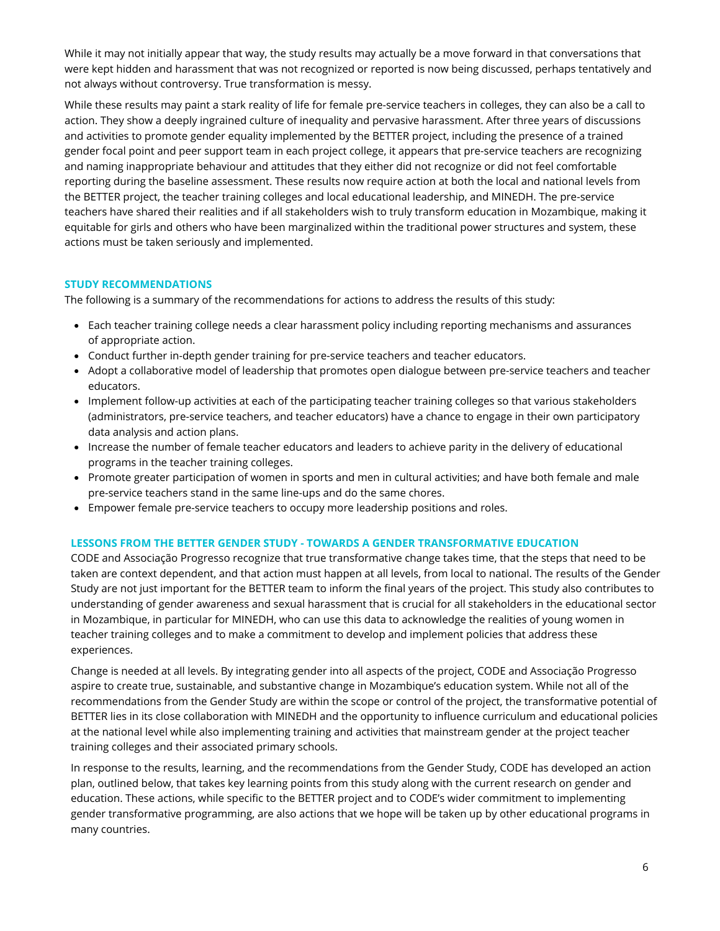While it may not initially appear that way, the study results may actually be a move forward in that conversations that were kept hidden and harassment that was not recognized or reported is now being discussed, perhaps tentatively and not always without controversy. True transformation is messy.

While these results may paint a stark reality of life for female pre-service teachers in colleges, they can also be a call to action. They show a deeply ingrained culture of inequality and pervasive harassment. After three years of discussions and activities to promote gender equality implemented by the BETTER project, including the presence of a trained gender focal point and peer support team in each project college, it appears that pre-service teachers are recognizing and naming inappropriate behaviour and attitudes that they either did not recognize or did not feel comfortable reporting during the baseline assessment. These results now require action at both the local and national levels from the BETTER project, the teacher training colleges and local educational leadership, and MINEDH. The pre-service teachers have shared their realities and if all stakeholders wish to truly transform education in Mozambique, making it equitable for girls and others who have been marginalized within the traditional power structures and system, these actions must be taken seriously and implemented.

#### **STUDY RECOMMENDATIONS**

The following is a summary of the recommendations for actions to address the results of this study:

- Each teacher training college needs a clear harassment policy including reporting mechanisms and assurances of appropriate action.
- Conduct further in-depth gender training for pre-service teachers and teacher educators.
- Adopt a collaborative model of leadership that promotes open dialogue between pre-service teachers and teacher educators.
- Implement follow-up activities at each of the participating teacher training colleges so that various stakeholders (administrators, pre-service teachers, and teacher educators) have a chance to engage in their own participatory data analysis and action plans.
- Increase the number of female teacher educators and leaders to achieve parity in the delivery of educational programs in the teacher training colleges.
- Promote greater participation of women in sports and men in cultural activities; and have both female and male pre-service teachers stand in the same line-ups and do the same chores.
- Empower female pre-service teachers to occupy more leadership positions and roles.

#### **LESSONS FROM THE BETTER GENDER STUDY - TOWARDS A GENDER TRANSFORMATIVE EDUCATION**

CODE and Associação Progresso recognize that true transformative change takes time, that the steps that need to be taken are context dependent, and that action must happen at all levels, from local to national. The results of the Gender Study are not just important for the BETTER team to inform the final years of the project. This study also contributes to understanding of gender awareness and sexual harassment that is crucial for all stakeholders in the educational sector in Mozambique, in particular for MINEDH, who can use this data to acknowledge the realities of young women in teacher training colleges and to make a commitment to develop and implement policies that address these experiences.

Change is needed at all levels. By integrating gender into all aspects of the project, CODE and Associação Progresso aspire to create true, sustainable, and substantive change in Mozambique's education system. While not all of the recommendations from the Gender Study are within the scope or control of the project, the transformative potential of BETTER lies in its close collaboration with MINEDH and the opportunity to influence curriculum and educational policies at the national level while also implementing training and activities that mainstream gender at the project teacher training colleges and their associated primary schools.

In response to the results, learning, and the recommendations from the Gender Study, CODE has developed an action plan, outlined below, that takes key learning points from this study along with the current research on gender and education. These actions, while specific to the BETTER project and to CODE's wider commitment to implementing gender transformative programming, are also actions that we hope will be taken up by other educational programs in many countries.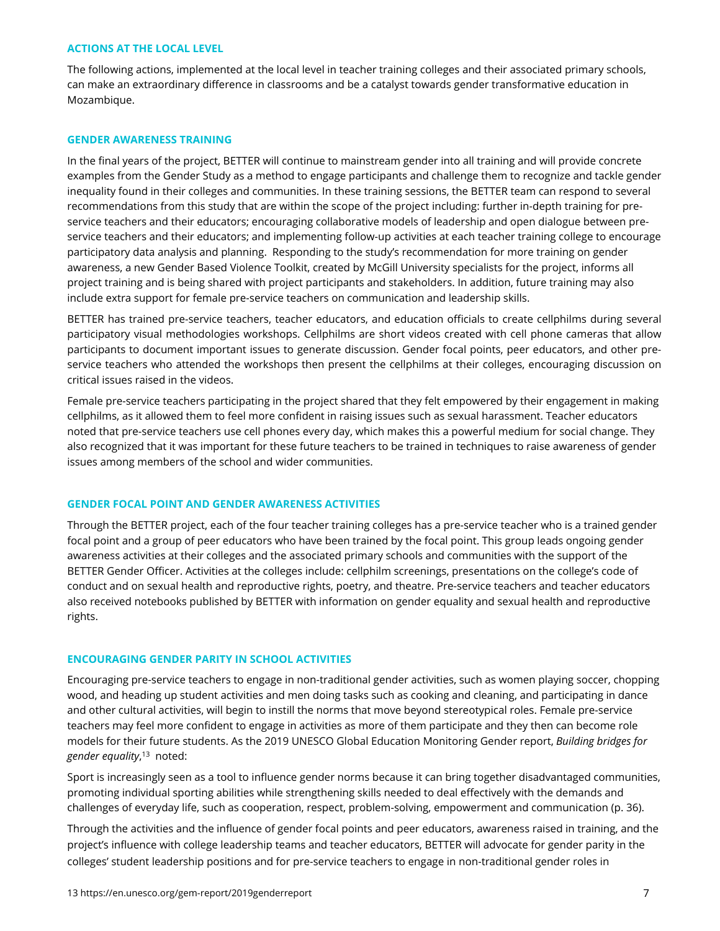#### **ACTIONS AT THE LOCAL LEVEL**

The following actions, implemented at the local level in teacher training colleges and their associated primary schools, can make an extraordinary difference in classrooms and be a catalyst towards gender transformative education in Mozambique.

#### **GENDER AWARENESS TRAINING**

In the final years of the project, BETTER will continue to mainstream gender into all training and will provide concrete examples from the Gender Study as a method to engage participants and challenge them to recognize and tackle gender inequality found in their colleges and communities. In these training sessions, the BETTER team can respond to several recommendations from this study that are within the scope of the project including: further in-depth training for preservice teachers and their educators; encouraging collaborative models of leadership and open dialogue between preservice teachers and their educators; and implementing follow-up activities at each teacher training college to encourage participatory data analysis and planning. Responding to the study's recommendation for more training on gender awareness, a new Gender Based Violence Toolkit, created by McGill University specialists for the project, informs all project training and is being shared with project participants and stakeholders. In addition, future training may also include extra support for female pre-service teachers on communication and leadership skills.

BETTER has trained pre-service teachers, teacher educators, and education officials to create cellphilms during several participatory visual methodologies workshops. Cellphilms are short videos created with cell phone cameras that allow participants to document important issues to generate discussion. Gender focal points, peer educators, and other preservice teachers who attended the workshops then present the cellphilms at their colleges, encouraging discussion on critical issues raised in the videos.

Female pre-service teachers participating in the project shared that they felt empowered by their engagement in making cellphilms, as it allowed them to feel more confident in raising issues such as sexual harassment. Teacher educators noted that pre-service teachers use cell phones every day, which makes this a powerful medium for social change. They also recognized that it was important for these future teachers to be trained in techniques to raise awareness of gender issues among members of the school and wider communities.

#### **GENDER FOCAL POINT AND GENDER AWARENESS ACTIVITIES**

Through the BETTER project, each of the four teacher training colleges has a pre-service teacher who is a trained gender focal point and a group of peer educators who have been trained by the focal point. This group leads ongoing gender awareness activities at their colleges and the associated primary schools and communities with the support of the BETTER Gender Officer. Activities at the colleges include: cellphilm screenings, presentations on the college's code of conduct and on sexual health and reproductive rights, poetry, and theatre. Pre-service teachers and teacher educators also received notebooks published by BETTER with information on gender equality and sexual health and reproductive rights.

#### **ENCOURAGING GENDER PARITY IN SCHOOL ACTIVITIES**

Encouraging pre-service teachers to engage in non-traditional gender activities, such as women playing soccer, chopping wood, and heading up student activities and men doing tasks such as cooking and cleaning, and participating in dance and other cultural activities, will begin to instill the norms that move beyond stereotypical roles. Female pre-service teachers may feel more confident to engage in activities as more of them participate and they then can become role models for their future students. As the 2019 UNESCO Global Education Monitoring Gender report, *Building bridges for gender equality*, <sup>13</sup> noted:

Sport is increasingly seen as a tool to influence gender norms because it can bring together disadvantaged communities, promoting individual sporting abilities while strengthening skills needed to deal effectively with the demands and challenges of everyday life, such as cooperation, respect, problem-solving, empowerment and communication (p. 36).

Through the activities and the influence of gender focal points and peer educators, awareness raised in training, and the project's influence with college leadership teams and teacher educators, BETTER will advocate for gender parity in the colleges' student leadership positions and for pre-service teachers to engage in non-traditional gender roles in